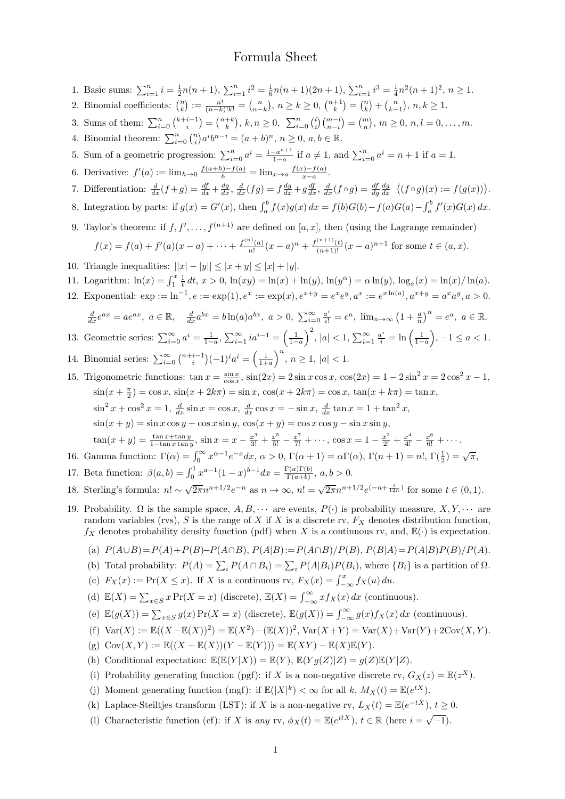## Formula Sheet

1. Basic sums:  $\sum_{i=1}^{n} i = \frac{1}{2}n(n+1), \sum_{i=1}^{n} i^2 = \frac{1}{6}n(n+1)(2n+1), \sum_{i=1}^{n} i^3 = \frac{1}{4}n^2(n+1)^2, n \ge 1.$ 2. Binomial coefficients:  $\binom{n}{k} := \frac{n!}{(n-k)!k!} = \binom{n}{n-k}, n \ge k \ge 0, \binom{n+1}{k} = \binom{n}{k} + \binom{n}{k-1}, n, k \ge 1.$ 3. Sums of them:  $\sum_{i=0}^{n} {k+i-1 \choose i} = {n+k \choose k}$ ,  $k, n \ge 0$ ,  $\sum_{i=0}^{n} {l \choose i} {m-l \choose n-i} = {m \choose n}$ ,  $m \ge 0$ ,  $n, l = 0, ..., m$ . 4. Binomial theorem:  $\sum_{i=0}^{n} {n \choose i} a^{i} b^{n-i} = (a+b)^{n}, n \ge 0, a, b \in \mathbb{R}$ . 5. Sum of a geometric progression:  $\sum_{i=0}^{n} a^i = \frac{1-a^{n+1}}{1-a}$  $\frac{-a^{n+1}}{1-a}$  if  $a \neq 1$ , and  $\sum_{i=0}^{n} a^i = n+1$  if  $a = 1$ . 6. Derivative:  $f'(a) := \lim_{h \to 0} \frac{f(a+h) - f(a)}{h} = \lim_{x \to a} \frac{f(x) - f(a)}{x - a}$  $\frac{c_j-f(a)}{x-a}.$ 7. Differentiation:  $\frac{d}{dx}(f+g) = \frac{df}{dx} + \frac{dg}{dx}$ ,  $\frac{d}{dx}(fg) = f\frac{dg}{dx} + g\frac{df}{dx}$ ,  $\frac{d}{dx}(f\circ g) = \frac{df}{dg}\frac{dg}{dx}$   $((f\circ g)(x) := f(g(x))).$ 8. Integration by parts: if  $g(x) = G'(x)$ , then  $\int_a^b f(x)g(x) dx = f(b)G(b) - f(a)G(a) - \int_a^b f'(x)G(x) dx$ . 9. Taylor's theorem: if  $f, f', \ldots, f^{(n+1)}$  are defined on [a, x], then (using the Lagrange remainder)  $f(x) = f(a) + f'(a)(x - a) + \cdots + \frac{f^{(n)}(a)}{n!}$  $\frac{f^{(n)}(a)}{n!}(x-a)^n + \frac{f^{(n+1)}(t)}{(n+1)!}(x-a)^{n+1}$  for some  $t \in (a, x)$ . 10. Triangle inequalities:  $||x| - |y|| \le |x + y| \le |x| + |y|$ . 11. Logarithm:  $\ln(x) = \int_1^x \frac{1}{t} dt$ ,  $x > 0$ ,  $\ln(xy) = \ln(x) + \ln(y)$ ,  $\ln(y^{\alpha}) = \alpha \ln(y)$ ,  $\log_a(x) = \ln(x) / \ln(a)$ . 12. Exponential:  $\exp := \ln^{-1}, e := \exp(1), e^x := \exp(x), e^{x+y} = e^x e^y, a^x := e^{x \ln(a)}, a^{x+y} = a^x a^y, a > 0.$  $\frac{d}{dx}e^{ax} = ae^{ax}, \ a \in \mathbb{R}, \quad \frac{d}{dx}a^{bx} = b\ln(a)a^{bx}, \ a > 0, \ \sum_{i=0}^{\infty} \frac{a^i}{i!} = e^a, \ \lim_{n \to \infty} (1 + \frac{a}{n})^n = e^a, \ a \in \mathbb{R}.$ 13. Geometric series:  $\sum_{i=0}^{\infty} a^i = \frac{1}{1-a}, \sum_{i=1}^{\infty} i a^{i-1} = \left(\frac{1}{1-a}\right)^2, |a| < 1, \sum_{i=1}^{\infty} \frac{a^i}{i} = \ln\left(\frac{1}{1-a}\right), -1 \le a < 1.$ 14. Binomial series:  $\sum_{i=0}^{\infty} {\binom{n+i-1}{i}} (-1)^i a^i = \left(\frac{1}{1+a}\right)^n, n \ge 1, |a| < 1.$ 15. Trigonometric functions:  $\tan x = \frac{\sin x}{\cos x}$ ,  $\sin(2x) = 2\sin x \cos x$ ,  $\cos(2x) = 1 - 2\sin^2 x = 2\cos^2 x - 1$ ,  $\sin(x + \frac{\pi}{2}) = \cos x$ ,  $\sin(x + 2k\pi) = \sin x$ ,  $\cos(x + 2k\pi) = \cos x$ ,  $\tan(x + k\pi) = \tan x$ ,  $\sin^2 x + \cos^2 x = 1$ ,  $\frac{d}{dx} \sin x = \cos x$ ,  $\frac{d}{dx} \cos x = -\sin x$ ,  $\frac{d}{dx} \tan x = 1 + \tan^2 x$ ,  $\sin(x + y) = \sin x \cos y + \cos x \sin y$ ,  $\cos(x + y) = \cos x \cos y - \sin x \sin y$ ,  $\tan(x+y) = \frac{\tan x + \tan y}{1-\tan x \tan y}$ ,  $\sin x = x - \frac{x^3}{3!} + \frac{x^5}{5!} - \frac{x^7}{7!} + \cdots$ ,  $\cos x = 1 - \frac{x^2}{2!} + \frac{x^4}{4!} - \frac{x^6}{6!} + \cdots$ 16. Gamma function:  $\Gamma(\alpha) = \int_0^\infty x^{\alpha-1} e^{-x} dx$ ,  $\alpha > 0$ ,  $\Gamma(\alpha + 1) = \alpha \Gamma(\alpha)$ ,  $\Gamma(n + 1) = n!$ ,  $\Gamma(\frac{1}{2}) = \sqrt{\pi}$ , 17. Beta function:  $\beta(a, b) = \int_0^1 x^{a-1} (1-x)^{b-1} dx = \frac{\Gamma(a)\Gamma(b)}{\Gamma(a+b)}$  $\frac{a(1)(b)}{\Gamma(a+b)}, a, b > 0.$ 18. Sterling's formula: n! ∼  $\sqrt{2\pi}n^{n+1/2}e^{-n}$  as  $n \to \infty$ ,  $n! = \sqrt{2\pi}n^{n+1/2}e^{(-n+\frac{t}{12n})}$  for some  $t \in (0,1)$ . 19. Probability.  $\Omega$  is the sample space,  $A, B, \dots$  are events,  $P(\cdot)$  is probability measure,  $X, Y, \dots$  are random variables (rvs), S is the range of X if X is a discrete rv,  $F_X$  denotes distribution function,  $f_X$  denotes probability density function (pdf) when X is a continuous rv, and,  $\mathbb{E}(\cdot)$  is expectation. (a)  $P(A \cup B) = P(A) + P(B) - P(A \cap B)$ ,  $P(A|B) := P(A \cap B)/P(B)$ ,  $P(B|A) = P(A|B)P(B)/P(A)$ . (b) Total probability:  $P(A) = \sum_i P(A \cap B_i) = \sum_i P(A|B_i)P(B_i)$ , where  $\{B_i\}$  is a partition of  $\Omega$ . (c)  $F_X(x) := \Pr(X \le x)$ . If X is a continuous rv,  $F_X(x) = \int_{-\infty}^x f_X(u) du$ . (d)  $\mathbb{E}(X) = \sum_{x \in S} x \Pr(X = x)$  (discrete),  $\mathbb{E}(X) = \int_{-\infty}^{\infty} x f_X(x) dx$  (continuous). (e)  $\mathbb{E}(g(X)) = \sum_{x \in S} g(x) \Pr(X = x)$  (discrete),  $\mathbb{E}(g(X)) = \int_{-\infty}^{\infty} g(x) f_X(x) dx$  (continuous). (f)  $Var(X) := \mathbb{E}((X - \mathbb{E}(X))^2) = \mathbb{E}(X^2) - (\mathbb{E}(X))^2$ ,  $Var(X + Y) = Var(X) + Var(Y) + 2Cov(X, Y)$ . (g)  $Cov(X, Y) := \mathbb{E}((X - \mathbb{E}(X))(Y - \mathbb{E}(Y))) = \mathbb{E}(XY) - \mathbb{E}(X)\mathbb{E}(Y).$ (h) Conditional expectation:  $\mathbb{E}(\mathbb{E}(Y|X)) = \mathbb{E}(Y), \mathbb{E}(Yq(Z)|Z) = q(Z)\mathbb{E}(Y|Z).$ (i) Probability generating function (pgf): if X is a non-negative discrete rv,  $G_X(z) = \mathbb{E}(z^X)$ . (j) Moment generating function (mgf): if  $\mathbb{E}(|X|^k) < \infty$  for all k,  $M_X(t) = \mathbb{E}(e^{tX})$ . (k) Laplace-Steiltjes transform (LST): if X is a non-negative rv,  $L_X(t) = \mathbb{E}(e^{-tX})$ ,  $t \ge 0$ . (l) Characteristic function (cf): if X is any rv,  $\phi_X(t) = \mathbb{E}(e^{itX})$ ,  $t \in \mathbb{R}$  (here  $i = \sqrt{-1}$ ).